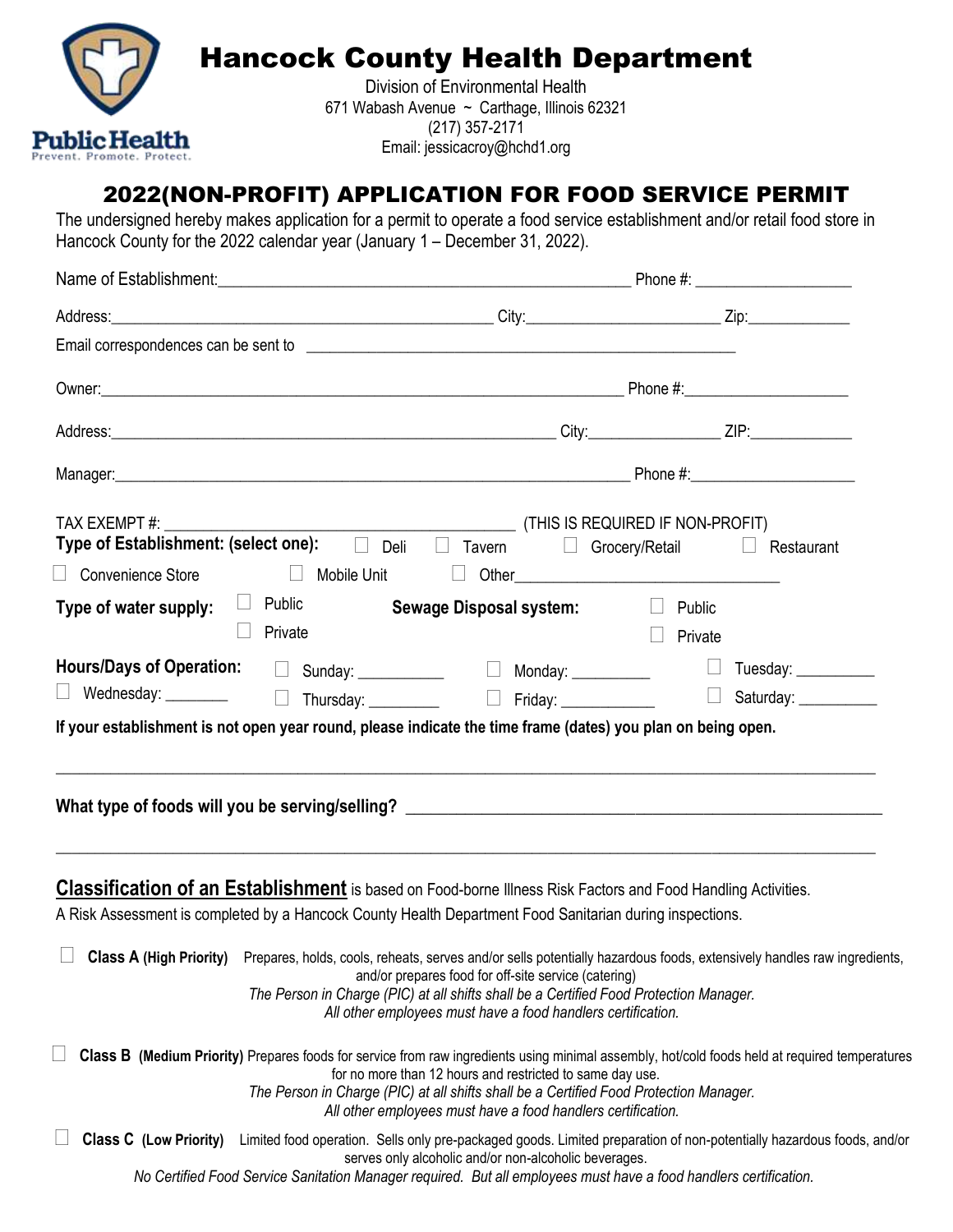

# Hancock County Health Department

Division of Environmental Health 671 Wabash Avenue ~ Carthage, Illinois 62321 (217) 357-2171 Email: jessicacroy@hchd1.org

# 2022(NON-PROFIT) APPLICATION FOR FOOD SERVICE PERMIT

The undersigned hereby makes application for a permit to operate a food service establishment and/or retail food store in Hancock County for the 2022 calendar year (January 1 – December 31, 2022).

| Type of Establishment: (select one): □ Deli □ Tavern<br>□ Convenience Store       □ Mobile Unit       Other_____________________________                                                                                        | (THIS IS REQUIRED IF NON-PROFIT)                                                                                                                                                                                                                                                                                                                                      | $\Box$ Grocery/Retail $\Box$ Restaurant                                                                                                                                                                                                                                                          |  |  |
|---------------------------------------------------------------------------------------------------------------------------------------------------------------------------------------------------------------------------------|-----------------------------------------------------------------------------------------------------------------------------------------------------------------------------------------------------------------------------------------------------------------------------------------------------------------------------------------------------------------------|--------------------------------------------------------------------------------------------------------------------------------------------------------------------------------------------------------------------------------------------------------------------------------------------------|--|--|
| Type of water supply: $\Box$ Public<br>Private                                                                                                                                                                                  | Sewage Disposal system:<br><u> </u> Public                                                                                                                                                                                                                                                                                                                            | $\Box$<br>Private                                                                                                                                                                                                                                                                                |  |  |
| <b>Hours/Days of Operation:</b> □ Sunday: ___________  □ Monday: _________    □ Tuesday: _________<br>$\Box$                                                                                                                    |                                                                                                                                                                                                                                                                                                                                                                       |                                                                                                                                                                                                                                                                                                  |  |  |
| If your establishment is not open year round, please indicate the time frame (dates) you plan on being open.                                                                                                                    |                                                                                                                                                                                                                                                                                                                                                                       |                                                                                                                                                                                                                                                                                                  |  |  |
| <b>Classification of an Establishment</b> is based on Food-borne Illness Risk Factors and Food Handling Activities.<br>A Risk Assessment is completed by a Hancock County Health Department Food Sanitarian during inspections. |                                                                                                                                                                                                                                                                                                                                                                       |                                                                                                                                                                                                                                                                                                  |  |  |
|                                                                                                                                                                                                                                 | and/or prepares food for off-site service (catering)<br>The Person in Charge (PIC) at all shifts shall be a Certified Food Protection Manager.<br>All other employees must have a food handlers certification.<br>for no more than 12 hours and restricted to same day use.<br>The Person in Charge (PIC) at all shifts shall be a Certified Food Protection Manager. | Class A (High Priority) Prepares, holds, cools, reheats, serves and/or sells potentially hazardous foods, extensively handles raw ingredients,<br>Class B (Medium Priority) Prepares foods for service from raw ingredients using minimal assembly, hot/cold foods held at required temperatures |  |  |
| <b>Class C</b> (Low Priority)                                                                                                                                                                                                   | All other employees must have a food handlers certification.<br>serves only alcoholic and/or non-alcoholic beverages.<br>No Certified Food Service Sanitation Manager required. But all employees must have a food handlers certification.                                                                                                                            | Limited food operation. Sells only pre-packaged goods. Limited preparation of non-potentially hazardous foods, and/or                                                                                                                                                                            |  |  |